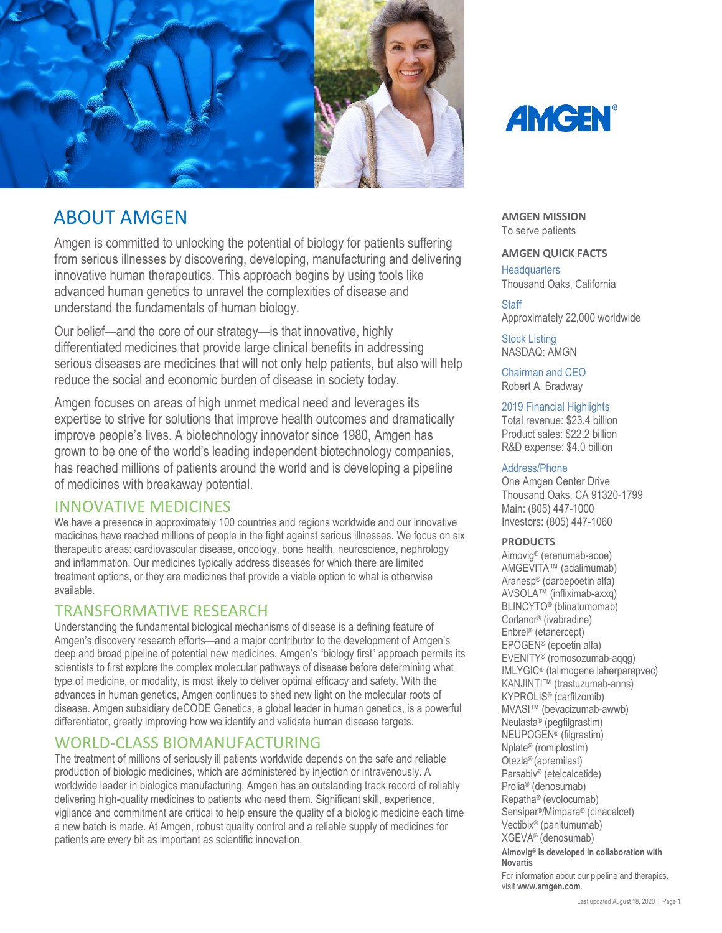

# ABOUT AMGEN

Amgen is committed to unlocking the potential of biology for patients suffering from serious illnesses by discovering, developing, manufacturing and delivering innovative human therapeutics. This approach begins by using tools like advanced human genetics to unravel the complexities of disease and understand the fundamentals of human biology.

Our belief—and the core of our strategy—is that innovative, highly differentiated medicines that provide large clinical benefits in addressing serious diseases are medicines that will not only help patients, but also will help reduce the social and economic burden of disease in society today.

Amgen focuses on areas of high unmet medical need and leverages its expertise to strive for solutions that improve health outcomes and dramatically improve people's lives. A biotechnology innovator since 1980, Amgen has grown to be one of the world's leading independent biotechnology companies, has reached millions of patients around the world and is developing a pipeline of medicines with breakaway potential.

# INNOVATIVE MEDICINES

We have a presence in approximately 100 countries and regions worldwide and our innovative medicines have reached millions of people in the fight against serious illnesses. We focus on six therapeutic areas: cardiovascular disease, oncology, bone health, neuroscience, nephrology and inflammation. Our medicines typically address diseases for which there are limited treatment options, or they are medicines that provide a viable option to what is otherwise available.

# TRANSFORMATIVE RESEARCH

Understanding the fundamental biological mechanisms of disease is a defining feature of Amgen's discovery research efforts—and a major contributor to the development of Amgen's deep and broad pipeline of potential new medicines. Amgen's "biology first" approach permits its scientists to first explore the complex molecular pathways of disease before determining what type of medicine, or modality, is most likely to deliver optimal efficacy and safety. With the advances in human genetics, Amgen continues to shed new light on the molecular roots of disease. Amgen subsidiary deCODE Genetics, a global leader in human genetics, is a powerful differentiator, greatly improving how we identify and validate human disease targets.

# WORLD-CLASS BIOMANUFACTURING

The treatment of millions of seriously ill patients worldwide depends on the safe and reliable production of biologic medicines, which are administered by injection or intravenously. A worldwide leader in biologics manufacturing, Amgen has an outstanding track record of reliably delivering high-quality medicines to patients who need them. Significant skill, experience, vigilance and commitment are critical to help ensure the quality of a biologic medicine each time a new batch is made. At Amgen, robust quality control and a reliable supply of medicines for patients are every bit as important as scientific innovation.



**AMGEN MISSION** To serve patients

### **AMGEN QUICK FACTS**

**Headquarters** Thousand Oaks, California

### **Staff**

Approximately 22,000 worldwide

Stock Listing NASDAQ: AMGN

Chairman and CEO Robert A. Bradway

### 2019 Financial Highlights

Total revenue: \$23.4 billion Product sales: \$22.2 billion R&D expense: \$4.0 billion

### Address/Phone

One Amgen Center Drive Thousand Oaks, CA 91320-1799 Main: (805) 447-1000 Investors: (805) 447-1060

#### **PRODUCTS**

Aimovig® (erenumab-aooe) AMGEVITA™ (adalimumab) Aranesp® (darbepoetin alfa) AVSOLA™ (infliximab-axxq) BLINCYTO® (blinatumomab) Corlanor® (ivabradine) Enbrel® (etanercept) EPOGEN® (epoetin alfa) EVENITY® (romosozumab-aqqg) IMLYGIC® (talimogene laherparepvec) KANJINTI™ (trastuzumab-anns) KYPROLIS® (carfilzomib) MVASI™ (bevacizumab-awwb) Neulasta® (pegfilgrastim) NEUPOGEN® (filgrastim) Nplate® (romiplostim) Otezla® (apremilast) Parsabiv® (etelcalcetide) Prolia® (denosumab) Repatha® (evolocumab) Sensipar®/Mimpara® (cinacalcet) Vectibix® (panitumumab) XGEVA® (denosumab) **Aimovig® is developed in collaboration with Novartis** For information about our pipeline and therapies, visit **[www.amgen.com](http://www.amgen.com/)**.